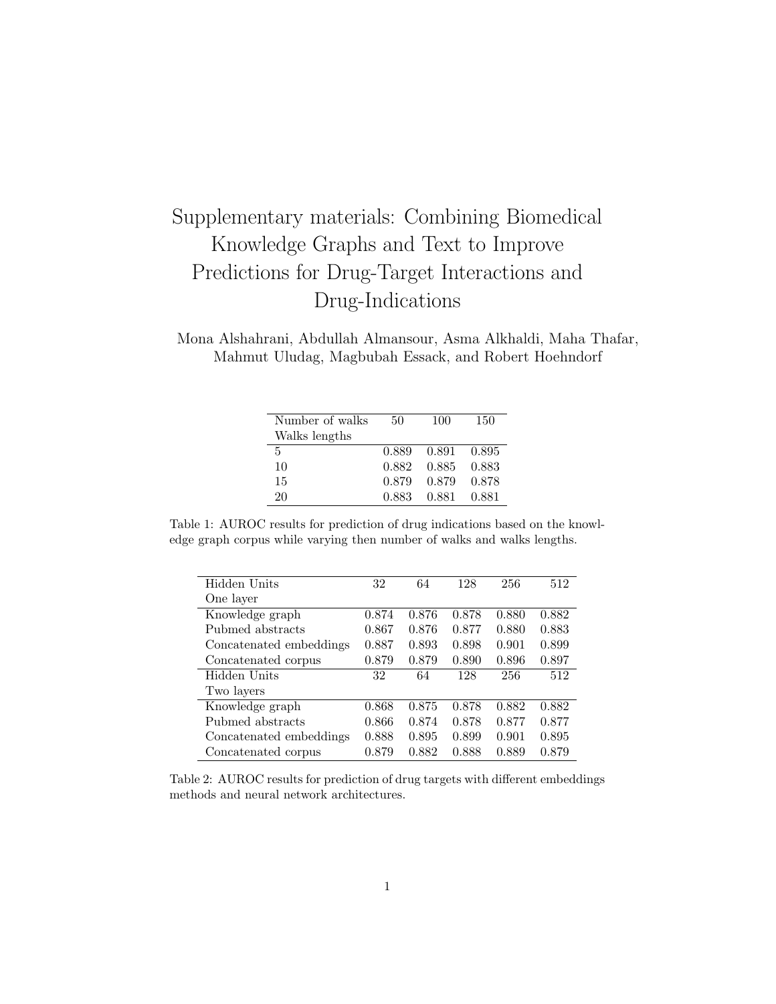## Supplementary materials: Combining Biomedical Knowledge Graphs and Text to Improve Predictions for Drug-Target Interactions and Drug-Indications

Mona Alshahrani, Abdullah Almansour, Asma Alkhaldi, Maha Thafar, Mahmut Uludag, Magbubah Essack, and Robert Hoehndorf

| Number of walks | 50    | 100         | 150   |
|-----------------|-------|-------------|-------|
| Walks lengths   |       |             |       |
| .5              | 0.889 | 0.891 0.895 |       |
| 10              | 0.882 | 0.885       | 0.883 |
| 15              | 0.879 | 0.879       | 0.878 |
| 20              | 0.883 | 0.881       | 0.881 |

Table 1: AUROC results for prediction of drug indications based on the knowledge graph corpus while varying then number of walks and walks lengths.

| Hidden Units            | 32    | 64    | 128   | 256   | 512   |
|-------------------------|-------|-------|-------|-------|-------|
| One layer               |       |       |       |       |       |
| Knowledge graph         | 0.874 | 0.876 | 0.878 | 0.880 | 0.882 |
| Pubmed abstracts        | 0.867 | 0.876 | 0.877 | 0.880 | 0.883 |
| Concatenated embeddings | 0.887 | 0.893 | 0.898 | 0.901 | 0.899 |
| Concatenated corpus     | 0.879 | 0.879 | 0.890 | 0.896 | 0.897 |
| Hidden Units            | 32    | 64    | 128   | 256   | 512   |
| Two layers              |       |       |       |       |       |
| Knowledge graph         | 0.868 | 0.875 | 0.878 | 0.882 | 0.882 |
| Pubmed abstracts        | 0.866 | 0.874 | 0.878 | 0.877 | 0.877 |
| Concatenated embeddings | 0.888 | 0.895 | 0.899 | 0.901 | 0.895 |
| Concatenated corpus     | 0.879 | 0.882 | 0.888 | 0.889 | 0.879 |

Table 2: AUROC results for prediction of drug targets with different embeddings methods and neural network architectures.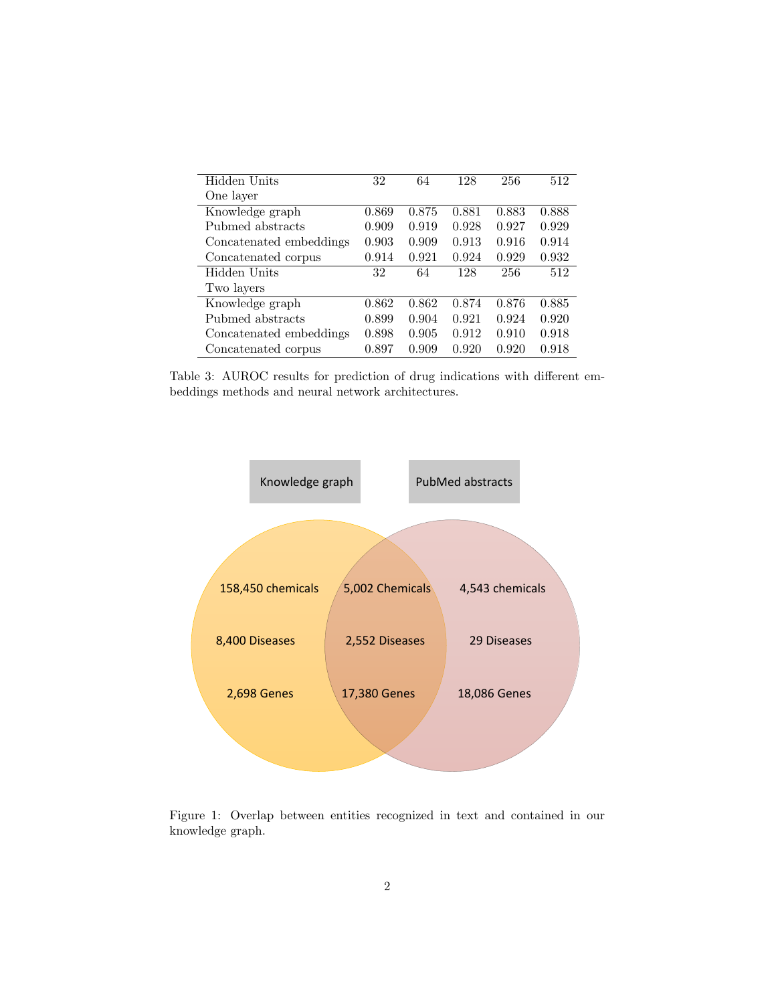| Hidden Units            | 32    | 64    | 128   | 256   | 512   |
|-------------------------|-------|-------|-------|-------|-------|
| One layer               |       |       |       |       |       |
| Knowledge graph         | 0.869 | 0.875 | 0.881 | 0.883 | 0.888 |
| Pubmed abstracts        | 0.909 | 0.919 | 0.928 | 0.927 | 0.929 |
| Concatenated embeddings | 0.903 | 0.909 | 0.913 | 0.916 | 0.914 |
| Concatenated corpus     | 0.914 | 0.921 | 0.924 | 0.929 | 0.932 |
| Hidden Units            | 32    | 64    | 128   | 256   | 512   |
| Two layers              |       |       |       |       |       |
| Knowledge graph         | 0.862 | 0.862 | 0.874 | 0.876 | 0.885 |
| Pubmed abstracts        | 0.899 | 0.904 | 0.921 | 0.924 | 0.920 |
| Concatenated embeddings | 0.898 | 0.905 | 0.912 | 0.910 | 0.918 |
| Concatenated corpus     | 0.897 | 0.909 | 0.920 | 0.920 | 0.918 |

Table 3: AUROC results for prediction of drug indications with different embeddings methods and neural network architectures.



Figure 1: Overlap between entities recognized in text and contained in our knowledge graph.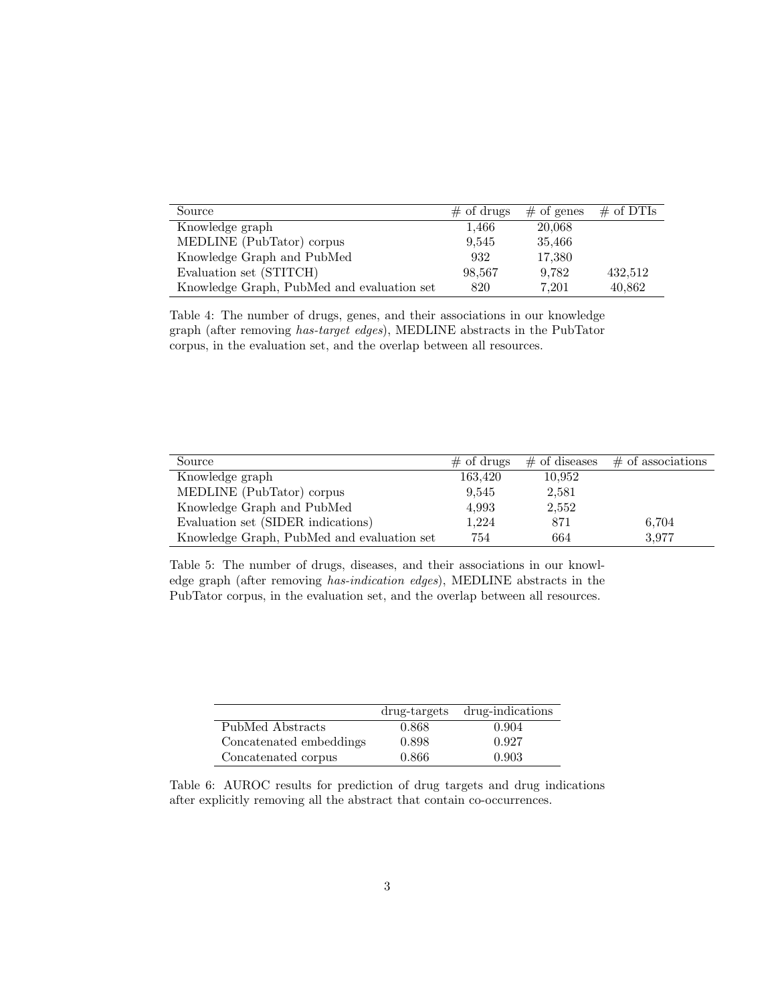| Source                                     | $\#$ of drugs | $#$ of genes | $\#$ of DTIs |
|--------------------------------------------|---------------|--------------|--------------|
| Knowledge graph                            | 1.466         | 20,068       |              |
| MEDLINE (PubTator) corpus                  | 9.545         | 35,466       |              |
| Knowledge Graph and PubMed                 | 932           | 17,380       |              |
| Evaluation set (STITCH)                    | 98,567        | 9.782        | 432,512      |
| Knowledge Graph, PubMed and evaluation set | 820           | 7.201        | 40,862       |

Table 4: The number of drugs, genes, and their associations in our knowledge graph (after removing has-target edges), MEDLINE abstracts in the PubTator corpus, in the evaluation set, and the overlap between all resources.

| Source                                     | $\#$ of drugs | $\#$ of diseases | $\#$ of associations |
|--------------------------------------------|---------------|------------------|----------------------|
| Knowledge graph                            | 163,420       | 10,952           |                      |
| MEDLINE (PubTator) corpus                  | 9.545         | 2,581            |                      |
| Knowledge Graph and PubMed                 | 4,993         | 2,552            |                      |
| Evaluation set (SIDER indications)         | 1.224         | 871              | 6,704                |
| Knowledge Graph, PubMed and evaluation set | 754           | 664              | 3.977                |

Table 5: The number of drugs, diseases, and their associations in our knowledge graph (after removing has-indication edges), MEDLINE abstracts in the PubTator corpus, in the evaluation set, and the overlap between all resources.

|                         | drug-targets | drug-indications |
|-------------------------|--------------|------------------|
| PubMed Abstracts        | 0.868        | 0.904            |
| Concatenated embeddings | 0.898        | 0.927            |
| Concatenated corpus     | 0.866        | 0.903            |

Table 6: AUROC results for prediction of drug targets and drug indications after explicitly removing all the abstract that contain co-occurrences.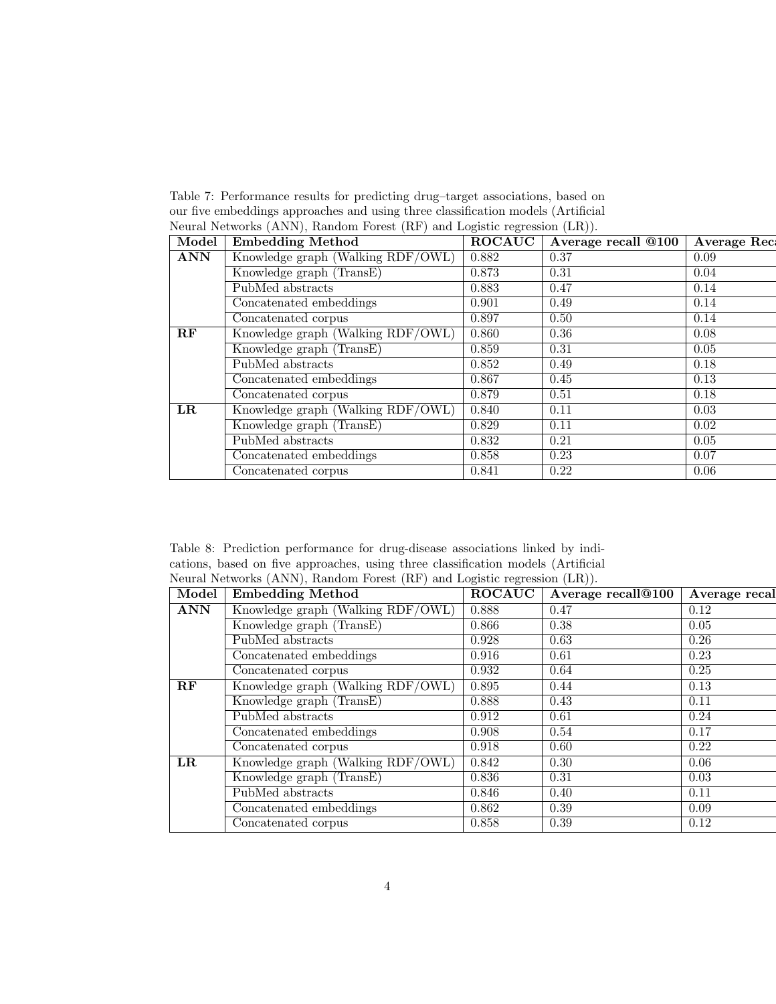Table 7: Performance results for predicting drug–target associations, based on our five embeddings approaches and using three classification models (Artificial Neural Networks (ANN), Random Forest (RF) and Logistic regression (LR)).

| Model      | <b>Embedding Method</b>           | <b>ROCAUC</b> | Average recall @100 | <b>Average Rec</b> |
|------------|-----------------------------------|---------------|---------------------|--------------------|
| <b>ANN</b> | Knowledge graph (Walking RDF/OWL) | 0.882         | 0.37                | 0.09               |
|            | Knowledge graph (TransE)          | 0.873         | 0.31                | 0.04               |
|            | PubMed abstracts                  | 0.883         | 0.47                | 0.14               |
|            | Concatenated embeddings           | 0.901         | 0.49                | 0.14               |
|            | Concatenated corpus               | 0.897         | 0.50                | 0.14               |
| RF         | Knowledge graph (Walking RDF/OWL) | 0.860         | 0.36                | 0.08               |
|            | Knowledge graph (TransE)          | 0.859         | 0.31                | 0.05               |
|            | PubMed abstracts                  | 0.852         | 0.49                | 0.18               |
|            | Concatenated embeddings           | 0.867         | 0.45                | 0.13               |
|            | Concatenated corpus               | 0.879         | 0.51                | 0.18               |
| $_{LR}$    | Knowledge graph (Walking RDF/OWL) | 0.840         | 0.11                | 0.03               |
|            | Knowledge graph (TransE)          | 0.829         | 0.11                | 0.02               |
|            | PubMed abstracts                  | 0.832         | 0.21                | 0.05               |
|            | Concatenated embeddings           | 0.858         | 0.23                | 0.07               |
|            | Concatenated corpus               | 0.841         | 0.22                | 0.06               |

Table 8: Prediction performance for drug-disease associations linked by indications, based on five approaches, using three classification models (Artificial Neural Networks (ANN), Random Forest (RF) and Logistic regression (LR)).

| Model         | <b>Embedding Method</b>           | <b>ROCAUC</b> | Average recall@100 | Average recal |
|---------------|-----------------------------------|---------------|--------------------|---------------|
| <b>ANN</b>    | Knowledge graph (Walking RDF/OWL) | 0.888         | 0.47               | 0.12          |
|               | Knowledge graph (TransE)          | 0.866         | 0.38               | 0.05          |
|               | PubMed abstracts                  | 0.928         | 0.63               | 0.26          |
|               | Concatenated embeddings           | 0.916         | 0.61               | 0.23          |
|               | Concatenated corpus               | 0.932         | 0.64               | 0.25          |
| $\mathbf{RF}$ | Knowledge graph (Walking RDF/OWL) | 0.895         | 0.44               | 0.13          |
|               | Knowledge graph (TransE)          | 0.888         | 0.43               | 0.11          |
|               | PubMed abstracts                  | 0.912         | 0.61               | 0.24          |
|               | Concatenated embeddings           | 0.908         | 0.54               | 0.17          |
|               | Concatenated corpus               | 0.918         | 0.60               | 0.22          |
| $_{LR}$       | Knowledge graph (Walking RDF/OWL) | 0.842         | 0.30               | 0.06          |
|               | Knowledge graph (TransE)          | 0.836         | 0.31               | 0.03          |
|               | PubMed abstracts                  | 0.846         | 0.40               | 0.11          |
|               | Concatenated embeddings           | 0.862         | 0.39               | 0.09          |
|               | Concatenated corpus               | 0.858         | 0.39               | 0.12          |